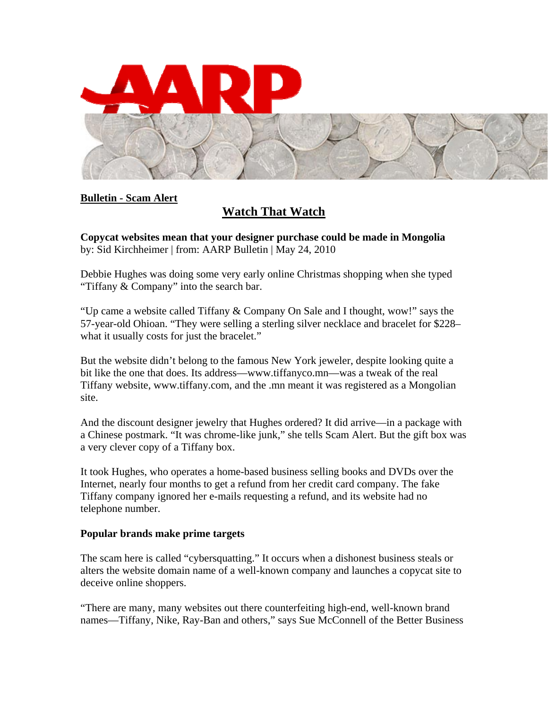

## **Bulletin - Scam Alert**

## **Watch That Watch**

**Copycat websites mean that your designer purchase could be made in Mongolia**  by: Sid Kirchheimer | from: AARP Bulletin | May 24, 2010

Debbie Hughes was doing some very early online Christmas shopping when she typed "Tiffany & Company" into the search bar.

"Up came a website called Tiffany & Company On Sale and I thought, wow!" says the 57-year-old Ohioan. "They were selling a sterling silver necklace and bracelet for \$228– what it usually costs for just the bracelet."

But the website didn't belong to the famous New York jeweler, despite looking quite a bit like the one that does. Its address—www.tiffanyco.mn—was a tweak of the real Tiffany website, www.tiffany.com, and the .mn meant it was registered as a Mongolian site.

And the discount designer jewelry that Hughes ordered? It did arrive—in a package with a Chinese postmark. "It was chrome-like junk," she tells Scam Alert. But the gift box was a very clever copy of a Tiffany box.

It took Hughes, who operates a home-based business selling books and DVDs over the Internet, nearly four months to get a refund from her credit card company. The fake Tiffany company ignored her e-mails requesting a refund, and its website had no telephone number.

## **Popular brands make prime targets**

The scam here is called "cybersquatting." It occurs when a dishonest business steals or alters the website domain name of a well-known company and launches a copycat site to deceive online shoppers.

"There are many, many websites out there counterfeiting high-end, well-known brand names—Tiffany, Nike, Ray-Ban and others," says Sue McConnell of the Better Business